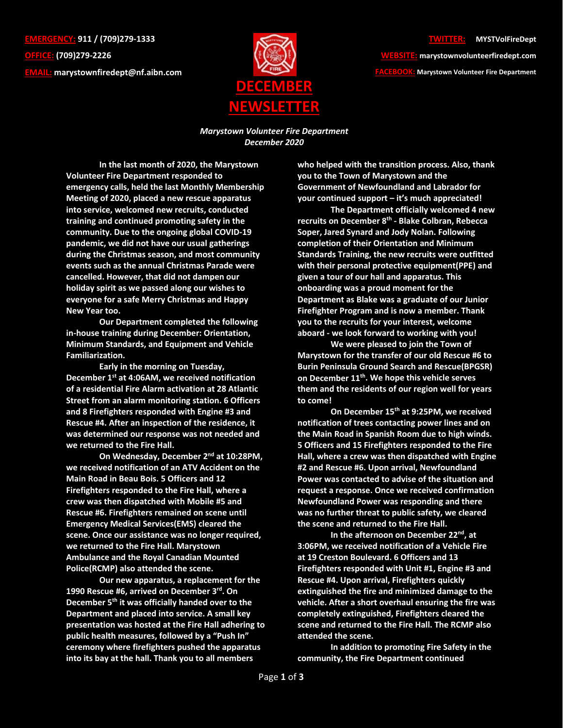**EMERGENCY: 911 / (709)279-1333 OFFICE: (709)279-2226 EMAIL: [marystownfiredept@nf.aibn.com](mailto:marystownfiredept@nf.aibn.com)**



## **TWITTER: @MYSTVolFireDept**

**WEBSITE: marystownvolunteerfiredept.com FACEBOOK: Marystown Volunteer Fire Department**

*Marystown Volunteer Fire Department December 2020*

**In the last month of 2020, the Marystown Volunteer Fire Department responded to emergency calls, held the last Monthly Membership Meeting of 2020, placed a new rescue apparatus into service, welcomed new recruits, conducted training and continued promoting safety in the community. Due to the ongoing global COVID-19 pandemic, we did not have our usual gatherings during the Christmas season, and most community events such as the annual Christmas Parade were cancelled. However, that did not dampen our holiday spirit as we passed along our wishes to everyone for a safe Merry Christmas and Happy New Year too.** 

 **Our Department completed the following in-house training during December: Orientation, Minimum Standards, and Equipment and Vehicle Familiarization.** 

**Early in the morning on Tuesday, December 1st at 4:06AM, we received notification of a residential Fire Alarm activation at 28 Atlantic Street from an alarm monitoring station. 6 Officers and 8 Firefighters responded with Engine #3 and Rescue #4. After an inspection of the residence, it was determined our response was not needed and we returned to the Fire Hall.** 

**On Wednesday, December 2nd at 10:28PM, we received notification of an ATV Accident on the Main Road in Beau Bois. 5 Officers and 12 Firefighters responded to the Fire Hall, where a crew was then dispatched with Mobile #5 and Rescue #6. Firefighters remained on scene until Emergency Medical Services(EMS) cleared the scene. Once our assistance was no longer required, we returned to the Fire Hall. Marystown Ambulance and the Royal Canadian Mounted Police(RCMP) also attended the scene.** 

**Our new apparatus, a replacement for the 1990 Rescue #6, arrived on December 3rd. On December 5th it was officially handed over to the Department and placed into service. A small key presentation was hosted at the Fire Hall adhering to public health measures, followed by a "Push In" ceremony where firefighters pushed the apparatus into its bay at the hall. Thank you to all members** 

**who helped with the transition process. Also, thank you to the Town of Marystown and the Government of Newfoundland and Labrador for your continued support – it's much appreciated!** 

**The Department officially welcomed 4 new recruits on December 8th - Blake Colbran, Rebecca Soper, Jared Synard and Jody Nolan. Following completion of their Orientation and Minimum Standards Training, the new recruits were outfitted with their personal protective equipment(PPE) and given a tour of our hall and apparatus. This onboarding was a proud moment for the Department as Blake was a graduate of our Junior Firefighter Program and is now a member. Thank you to the recruits for your interest, welcome aboard - we look forward to working with you!** 

**We were pleased to join the Town of Marystown for the transfer of our old Rescue #6 to Burin Peninsula Ground Search and Rescue(BPGSR) on December 11th. We hope this vehicle serves them and the residents of our region well for years to come!** 

**On December 15th at 9:25PM, we received notification of trees contacting power lines and on the Main Road in Spanish Room due to high winds. 5 Officers and 15 Firefighters responded to the Fire Hall, where a crew was then dispatched with Engine #2 and Rescue #6. Upon arrival, Newfoundland Power was contacted to advise of the situation and request a response. Once we received confirmation Newfoundland Power was responding and there was no further threat to public safety, we cleared the scene and returned to the Fire Hall.** 

**In the afternoon on December 22nd, at 3:06PM, we received notification of a Vehicle Fire at 19 Creston Boulevard. 6 Officers and 13 Firefighters responded with Unit #1, Engine #3 and Rescue #4. Upon arrival, Firefighters quickly extinguished the fire and minimized damage to the vehicle. After a short overhaul ensuring the fire was completely extinguished, Firefighters cleared the scene and returned to the Fire Hall. The RCMP also attended the scene.** 

**In addition to promoting Fire Safety in the community, the Fire Department continued**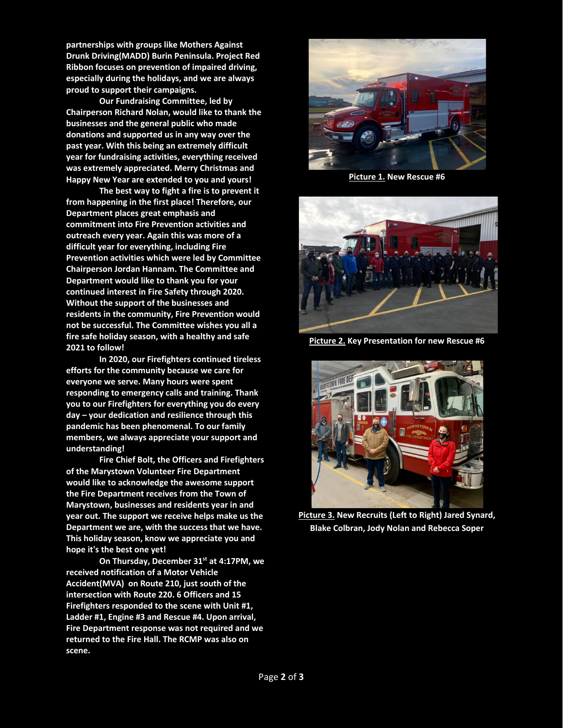**partnerships with groups like Mothers Against Drunk Driving(MADD) Burin Peninsula. Project Red Ribbon focuses on prevention of impaired driving, especially during the holidays, and we are always proud to support their campaigns.** 

**Our Fundraising Committee, led by Chairperson Richard Nolan, would like to thank the businesses and the general public who made donations and supported us in any way over the past year. With this being an extremely difficult year for fundraising activities, everything received was extremely appreciated. Merry Christmas and Happy New Year are extended to you and yours!**

**The best way to fight a fire is to prevent it from happening in the first place! Therefore, our Department places great emphasis and commitment into Fire Prevention activities and outreach every year. Again this was more of a difficult year for everything, including Fire Prevention activities which were led by Committee Chairperson Jordan Hannam. The Committee and Department would like to thank you for your continued interest in Fire Safety through 2020. Without the support of the businesses and residents in the community, Fire Prevention would not be successful. The Committee wishes you all a fire safe holiday season, with a healthy and safe 2021 to follow!** 

 **In 2020, our Firefighters continued tireless efforts for the community because we care for everyone we serve. Many hours were spent responding to emergency calls and training. Thank you to our Firefighters for everything you do every day – your dedication and resilience through this pandemic has been phenomenal. To our family members, we always appreciate your support and understanding!**

**Fire Chief Bolt, the Officers and Firefighters of the Marystown Volunteer Fire Department would like to acknowledge the awesome support the Fire Department receives from the Town of Marystown, businesses and residents year in and year out. The support we receive helps make us the Department we are, with the success that we have. This holiday season, know we appreciate you and hope it's the best one yet!** 

**On Thursday, December 31st at 4:17PM, we received notification of a Motor Vehicle Accident(MVA) on Route 210, just south of the intersection with Route 220. 6 Officers and 15 Firefighters responded to the scene with Unit #1, Ladder #1, Engine #3 and Rescue #4. Upon arrival, Fire Department response was not required and we returned to the Fire Hall. The RCMP was also on scene.** 



**Picture 1. New Rescue #6**



**Picture 2. Key Presentation for new Rescue #6**



**Picture 3. New Recruits (Left to Right) Jared Synard, Blake Colbran, Jody Nolan and Rebecca Soper**